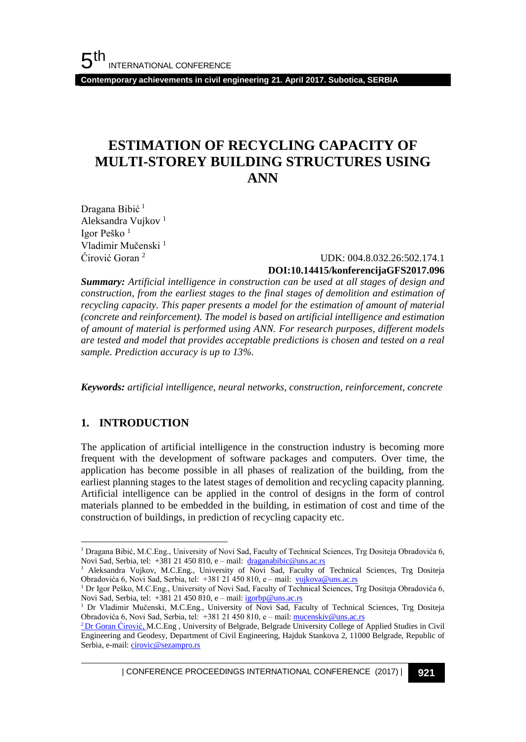**Contemporary achievements in civil engineering 21. April 2017. Subotica, SERBIA**

## **ESTIMATION OF RECYCLING CAPACITY OF MULTI-STOREY BUILDING STRUCTURES USING ANN**

Dragana Bibić<sup>1</sup> Aleksandra Vujkov <sup>1</sup> Igor Peško <sup>1</sup> Vladimir Mučenski<sup>1</sup> Ćirović Goran <sup>2</sup>

### UDK: 004.8.032.26:502.174.1 **DOI:10.14415/konferencijaGFS2017.096**

*Summary: Artificial intelligence in construction can be used at all stages of design and construction, from the earliest stages to the final stages of demolition and estimation of recycling capacity. This paper presents a model for the estimation of amount of material (concrete and reinforcement). The model is based on artificial intelligence and estimation of amount of material is performed using ANN. For research purposes, different models are tested and model that provides acceptable predictions is chosen and tested on a real sample. Prediction accuracy is up to 13%.*

*Keywords: artificial intelligence, neural networks, construction, reinforcement, concrete*

### **1. INTRODUCTION**

l

The application of artificial intelligence in the construction industry is becoming more frequent with the development of software packages and computers. Over time, the application has become possible in all phases of realization of the building, from the earliest planning stages to the latest stages of demolition and recycling capacity planning. Artificial intelligence can be applied in the control of designs in the form of control materials planned to be embedded in the building, in estimation of cost and time of the construction of buildings, in prediction of recycling capacity etc.

| CONFERENCE PROCEEDINGS INTERNATIONAL CONFERENCE (2017) <sup>|</sup>**921**

<sup>1</sup> Dragana Bibić, M.C.Eng., University of Novi Sad, Faculty of Technical Sciences, Trg Dositeja Obradovića 6, Novi Sad, Serbia, tel: +381 21 450 810, e – mail: [draganabibic@uns.ac.rs](mailto:draganabibic@uns.ac.rs)

<sup>1</sup> Aleksandra Vujkov, M.C.Eng., University of Novi Sad, Faculty of Technical Sciences, Trg Dositeja Obradovića 6, Novi Sad, Serbia, tel: +381 21 450 810, e - mail: [vujkova@uns.ac.rs](mailto:vujkova@uns.ac.rs)

<sup>1</sup> Dr Igor Peško, M.C.Eng., University of Novi Sad, Faculty of Technical Sciences, Trg Dositeja Obradovića 6, Novi Sad, Serbia, tel: +381 21 450 810, e – mail[: igorbp@uns.ac.rs](mailto:igorbp@uns.ac.rs)

<sup>&</sup>lt;sup>1</sup> Dr Vladimir Mučenski, M.C.Eng., University of Novi Sad, Faculty of Technical Sciences, Trg Dositeja Obradovića 6, Novi Sad, Serbia, tel: +381 21 450 810, e – mail[: mucenskiv@uns.ac.rs](mailto:mucenskiv@uns.ac.rs)

<sup>&</sup>lt;sup>2</sup> Dr Goran Ćirović, M.C.Eng, University of Belgrade, Belgrade University College of Applied Studies in Civil Engineering and Geodesy, Department of Civil Engineering, Hajduk Stankova 2, 11000 Belgrade, Republic of Serbia, e-mail[: cirovic@sezampro.rs](mailto:cirovic@sezampro.rs)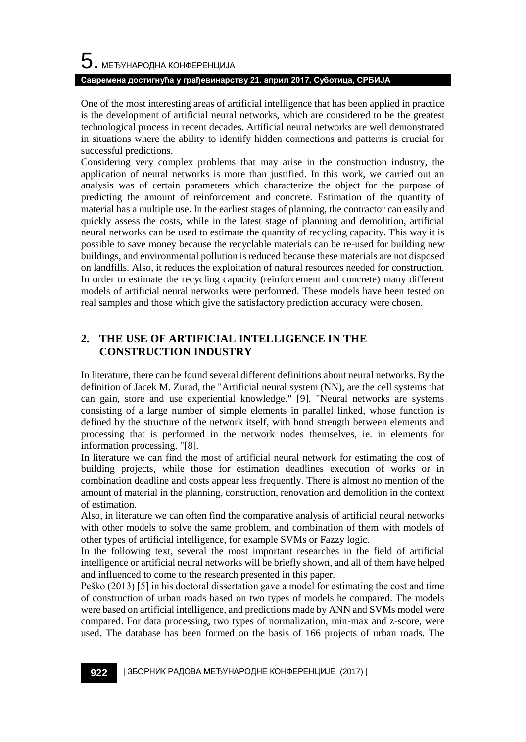One of the most interesting areas of artificial intelligence that has been applied in practice is the development of artificial neural networks, which are considered to be the greatest technological process in recent decades. Artificial neural networks are well demonstrated in situations where the ability to identify hidden connections and patterns is crucial for successful predictions.

Considering very complex problems that may arise in the construction industry, the application of neural networks is more than justified. In this work, we carried out an analysis was of certain parameters which characterize the object for the purpose of predicting the amount of reinforcement and concrete. Estimation of the quantity of material has a multiple use. In the earliest stages of planning, the contractor can easily and quickly assess the costs, while in the latest stage of planning and demolition, artificial neural networks can be used to estimate the quantity of recycling capacity. This way it is possible to save money because the recyclable materials can be re-used for building new buildings, and environmental pollution is reduced because these materials are not disposed on landfills. Also, it reduces the exploitation of natural resources needed for construction. In order to estimate the recycling capacity (reinforcement and concrete) many different models of artificial neural networks were performed. These models have been tested on real samples and those which give the satisfactory prediction accuracy were chosen.

### **2. THE USE OF ARTIFICIAL INTELLIGENCE IN THE CONSTRUCTION INDUSTRY**

In literature, there can be found several different definitions about neural networks. By the definition of Jacek M. Zurad, the "Artificial neural system (NN), are the cell systems that can gain, store and use experiential knowledge." [9]. "Neural networks are systems consisting of a large number of simple elements in parallel linked, whose function is defined by the structure of the network itself, with bond strength between elements and processing that is performed in the network nodes themselves, ie. in elements for information processing. "[8].

In literature we can find the most of artificial neural network for estimating the cost of building projects, while those for estimation deadlines execution of works or in combination deadline and costs appear less frequently. There is almost no mention of the amount of material in the planning, construction, renovation and demolition in the context of estimation.

Also, in literature we can often find the comparative analysis of artificial neural networks with other models to solve the same problem, and combination of them with models of other types of artificial intelligence, for example SVMs or Fazzy logic.

In the following text, several the most important researches in the field of artificial intelligence or artificial neural networks will be briefly shown, and all of them have helped and influenced to come to the research presented in this paper.

Peško (2013) [5] in his doctoral dissertation gave a model for estimating the cost and time of construction of urban roads based on two types of models he compared. The models were based on artificial intelligence, and predictions made by ANN and SVMs model were compared. For data processing, two types of normalization, min-max and z-score, were used. The database has been formed on the basis of 166 projects of urban roads. The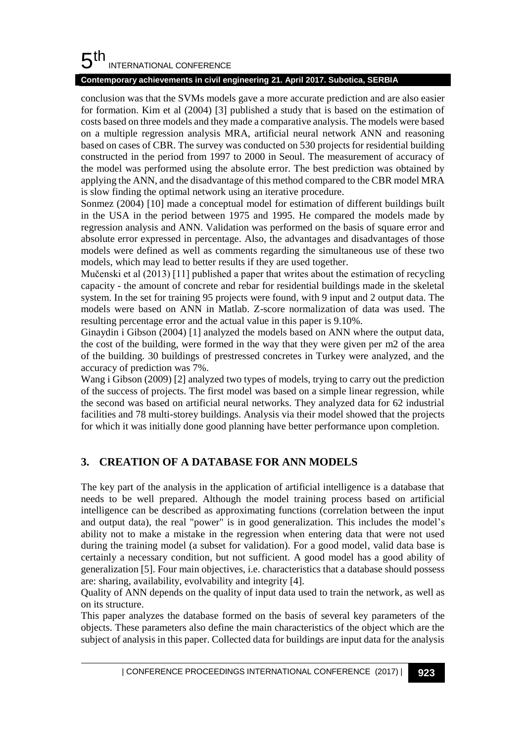#### 5 th INTERNATIONAL CONFERENCE

### **Contemporary achievements in civil engineering 21. April 2017. Subotica, SERBIA**

conclusion was that the SVMs models gave a more accurate prediction and are also easier for formation. Kim et al (2004) [3] published a study that is based on the estimation of costs based on three models and they made a comparative analysis. The models were based on a multiple regression analysis MRA, artificial neural network ANN and reasoning based on cases of CBR. The survey was conducted on 530 projects for residential building constructed in the period from 1997 to 2000 in Seoul. The measurement of accuracy of the model was performed using the absolute error. The best prediction was obtained by applying the ANN, and the disadvantage of this method compared to the CBR model MRA is slow finding the optimal network using an iterative procedure.

Sonmez (2004) [10] made a conceptual model for estimation of different buildings built in the USA in the period between 1975 and 1995. He compared the models made by regression analysis and ANN. Validation was performed on the basis of square error and absolute error expressed in percentage. Also, the advantages and disadvantages of those models were defined as well as comments regarding the simultaneous use of these two models, which may lead to better results if they are used together.

Mučenski et al (2013) [11] published a paper that writes about the estimation of recycling capacity - the amount of concrete and rebar for residential buildings made in the skeletal system. In the set for training 95 projects were found, with 9 input and 2 output data. The models were based on ANN in Matlab. Z-score normalization of data was used. The resulting percentage error and the actual value in this paper is 9.10%.

Ginaydin i Gibson (2004) [1] analyzed the models based on ANN where the output data, the cost of the building, were formed in the way that they were given per m2 of the area of the building. 30 buildings of prestressed concretes in Turkey were analyzed, and the accuracy of prediction was 7%.

Wang i Gibson (2009) [2] analyzed two types of models, trying to carry out the prediction of the success of projects. The first model was based on a simple linear regression, while the second was based on artificial neural networks. They analyzed data for 62 industrial facilities and 78 multi-storey buildings. Analysis via their model showed that the projects for which it was initially done good planning have better performance upon completion.

## **3. CREATION OF A DATABASE FOR ANN MODELS**

The key part of the analysis in the application of artificial intelligence is a database that needs to be well prepared. Although the model training process based on artificial intelligence can be described as approximating functions (correlation between the input and output data), the real "power" is in good generalization. This includes the model's ability not to make a mistake in the regression when entering data that were not used during the training model (a subset for validation). For a good model, valid data base is certainly a necessary condition, but not sufficient. A good model has a good ability of generalization [5]. Four main objectives, i.e. characteristics that a database should possess are: sharing, availability, evolvability and integrity [4].

Quality of ANN depends on the quality of input data used to train the network, as well as on its structure.

This paper analyzes the database formed on the basis of several key parameters of the objects. These parameters also define the main characteristics of the object which are the subject of analysis in this paper. Collected data for buildings are input data for the analysis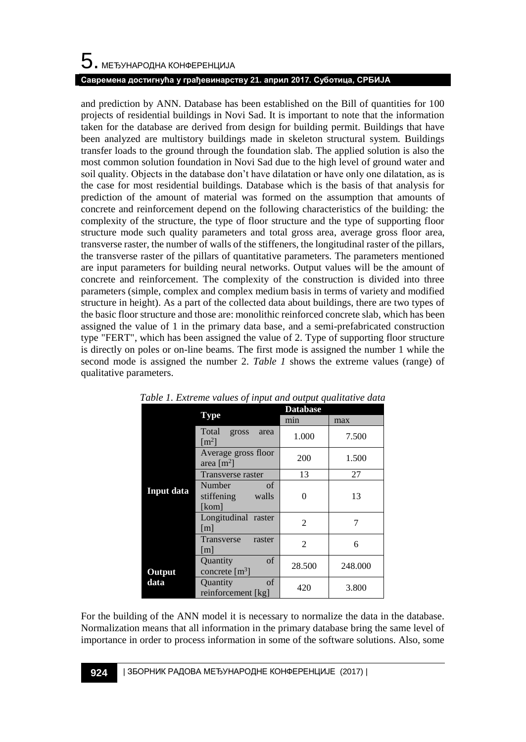# $\mathbf 5$ . међународна конференција **Савремена достигнућа у грађевинарству 21. април 2017. Суботица, СРБИЈА**

and prediction by ANN. Database has been established on the Bill of quantities for 100 projects of residential buildings in Novi Sad. It is important to note that the information taken for the database are derived from design for building permit. Buildings that have been analyzed are multistory buildings made in skeleton structural system. Buildings transfer loads to the ground through the foundation slab. The applied solution is also the most common solution foundation in Novi Sad due to the high level of ground water and soil quality. Objects in the database don't have dilatation or have only one dilatation, as is the case for most residential buildings. Database which is the basis of that analysis for prediction of the amount of material was formed on the assumption that amounts of concrete and reinforcement depend on the following characteristics of the building: the complexity of the structure, the type of floor structure and the type of supporting floor structure mode such quality parameters and total gross area, average gross floor area, transverse raster, the number of walls of the stiffeners, the longitudinal raster of the pillars, the transverse raster of the pillars of quantitative parameters. The parameters mentioned are input parameters for building neural networks. Output values will be the amount of concrete and reinforcement. The complexity of the construction is divided into three parameters (simple, complex and complex medium basis in terms of variety and modified structure in height). As a part of the collected data about buildings, there are two types of the basic floor structure and those are: monolithic reinforced concrete slab, which has been assigned the value of 1 in the primary data base, and a semi-prefabricated construction type "FERT", which has been assigned the value of 2. Type of supporting floor structure is directly on poles or on-line beams. The first mode is assigned the number 1 while the second mode is assigned the number 2. *Table 1* shows the extreme values (range) of qualitative parameters.

|                   |                                                | <b>Database</b> |         |
|-------------------|------------------------------------------------|-----------------|---------|
|                   | <b>Type</b>                                    | min             | max     |
|                   | Total<br>gross<br>area<br>$\lceil m^2 \rceil$  | 1.000           | 7.500   |
| <b>Input data</b> | Average gross floor<br>area $[m^2]$            | 200             | 1.500   |
|                   | Transverse raster                              | 13              | 27      |
|                   | of<br>Number<br>stiffening<br>walls<br>[kom]   | $\theta$        | 13      |
|                   | Longitudinal raster<br>$\lceil m \rceil$       | $\overline{c}$  | 7       |
|                   | Transverse<br>raster<br> m                     | $\overline{2}$  | 6       |
| Output<br>data    | of<br>Quantity<br>concrete $\lceil m^3 \rceil$ | 28.500          | 248.000 |
|                   | of<br>Quantity<br>reinforcement [kg]           | 420             | 3.800   |

*Table 1. Extreme values of input and output qualitative data*

For the building of the ANN model it is necessary to normalize the data in the database. Normalization means that all information in the primary database bring the same level of importance in order to process information in some of the software solutions. Also, some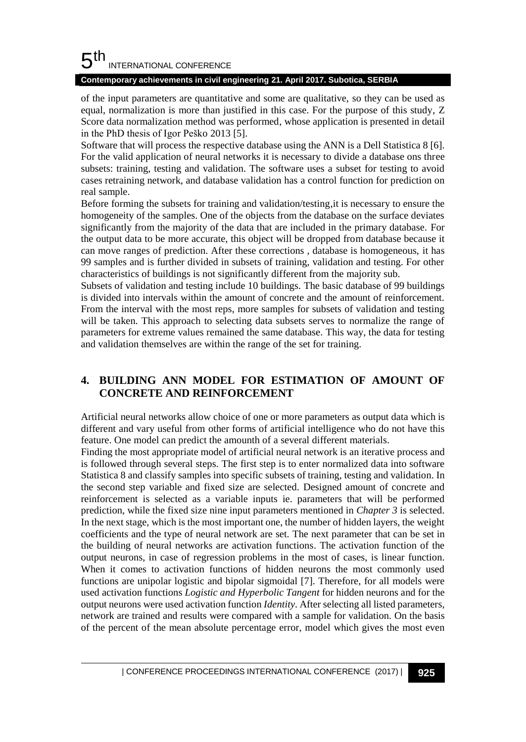#### 5 th INTERNATIONAL CONFERENCE

#### **Contemporary achievements in civil engineering 21. April 2017. Subotica, SERBIA**

of the input parameters are quantitative and some are qualitative, so they can be used as equal, normalization is more than justified in this case. For the purpose of this study, Z Score data normalization method was performed, whose application is presented in detail in the PhD thesis of Igor Peško 2013 [5].

Software that will process the respective database using the ANN is a Dell Statistica 8 [6]. For the valid application of neural networks it is necessary to divide a database ons three subsets: training, testing and validation. The software uses a subset for testing to avoid cases retraining network, and database validation has a control function for prediction on real sample.

Before forming the subsets for training and validation/testing,it is necessary to ensure the homogeneity of the samples. One of the objects from the database on the surface deviates significantly from the majority of the data that are included in the primary database. For the output data to be more accurate, this object will be dropped from database because it can move ranges of prediction. After these corrections , database is homogeneous, it has 99 samples and is further divided in subsets of training, validation and testing. For other characteristics of buildings is not significantly different from the majority sub.

Subsets of validation and testing include 10 buildings. The basic database of 99 buildings is divided into intervals within the amount of concrete and the amount of reinforcement. From the interval with the most reps, more samples for subsets of validation and testing will be taken. This approach to selecting data subsets serves to normalize the range of parameters for extreme values remained the same database. This way, the data for testing and validation themselves are within the range of the set for training.

### **4. BUILDING ANN MODEL FOR ESTIMATION OF AMOUNT OF CONCRETE AND REINFORCEMENT**

Artificial neural networks allow choice of one or more parameters as output data which is different and vary useful from other forms of artificial intelligence who do not have this feature. One model can predict the amounth of a several different materials.

Finding the most appropriate model of artificial neural network is an iterative process and is followed through several steps. The first step is to enter normalized data into software Statistica 8 and classify samples into specific subsets of training, testing and validation. In the second step variable and fixed size are selected. Designed amount of concrete and reinforcement is selected as a variable inputs ie. parameters that will be performed prediction, while the fixed size nine input parameters mentioned in *Chapter 3* is selected. In the next stage, which is the most important one, the number of hidden layers, the weight coefficients and the type of neural network are set. The next parameter that can be set in the building of neural networks are activation functions. The activation function of the output neurons, in case of regression problems in the most of cases, is linear function. When it comes to activation functions of hidden neurons the most commonly used functions are unipolar logistic and bipolar sigmoidal [7]. Therefore, for all models were used activation functions *Logistic and Hyperbolic Tangent* for hidden neurons and for the output neurons were used activation function *Identity*. After selecting all listed parameters, network are trained and results were compared with a sample for validation. On the basis of the percent of the mean absolute percentage error, model which gives the most even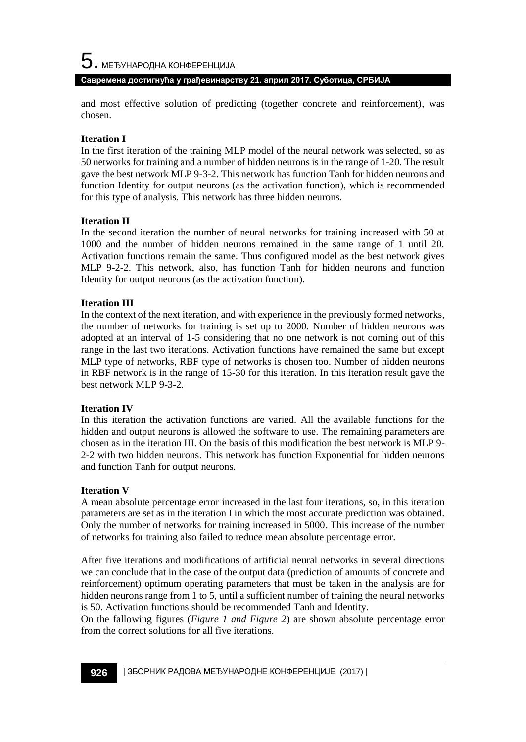$5$ . међународна конференција **Савремена достигнућа у грађевинарству 21. април 2017. Суботица, СРБИЈА**

and most effective solution of predicting (together concrete and reinforcement), was chosen.

#### **Iteration I**

In the first iteration of the training MLP model of the neural network was selected, so as 50 networks for training and a number of hidden neurons is in the range of 1-20. The result gave the best network MLP 9-3-2. This network has function Tanh for hidden neurons and function Identity for output neurons (as the activation function), which is recommended for this type of analysis. This network has three hidden neurons.

#### **Iteration II**

In the second iteration the number of neural networks for training increased with 50 at 1000 and the number of hidden neurons remained in the same range of 1 until 20. Activation functions remain the same. Thus configured model as the best network gives MLP 9-2-2. This network, also, has function Tanh for hidden neurons and function Identity for output neurons (as the activation function).

#### **Iteration III**

In the context of the next iteration, and with experience in the previously formed networks, the number of networks for training is set up to 2000. Number of hidden neurons was adopted at an interval of 1-5 considering that no one network is not coming out of this range in the last two iterations. Activation functions have remained the same but except MLP type of networks, RBF type of networks is chosen too. Number of hidden neurons in RBF network is in the range of 15-30 for this iteration. In this iteration result gave the best network MLP 9-3-2.

#### **Iteration IV**

In this iteration the activation functions are varied. All the available functions for the hidden and output neurons is allowed the software to use. The remaining parameters are chosen as in the iteration III. On the basis of this modification the best network is MLP 9- 2-2 with two hidden neurons. This network has function Exponential for hidden neurons and function Tanh for output neurons.

#### **Iteration V**

A mean absolute percentage error increased in the last four iterations, so, in this iteration parameters are set as in the iteration I in which the most accurate prediction was obtained. Only the number of networks for training increased in 5000. This increase of the number of networks for training also failed to reduce mean absolute percentage error.

After five iterations and modifications of artificial neural networks in several directions we can conclude that in the case of the output data (prediction of amounts of concrete and reinforcement) optimum operating parameters that must be taken in the analysis are for hidden neurons range from 1 to 5, until a sufficient number of training the neural networks is 50. Activation functions should be recommended Tanh and Identity.

On the fallowing figures (*Figure 1 and Figure 2*) are shown absolute percentage error from the correct solutions for all five iterations.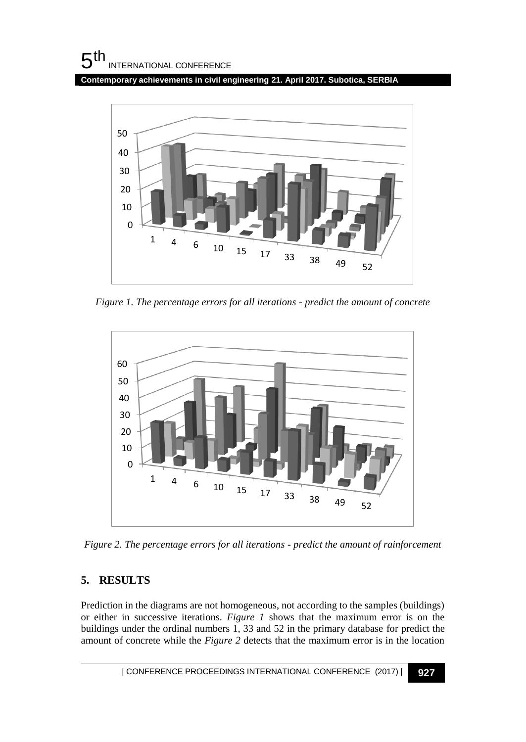**Contemporary achievements in civil engineering 21. April 2017. Subotica, SERBIA**



*Figure 1. The percentage errors for all iterations - predict the amount of concrete*



*Figure 2. The percentage errors for all iterations - predict the amount of rainforcement*

## **5. RESULTS**

Prediction in the diagrams are not homogeneous, not according to the samples (buildings) or either in successive iterations. *Figure 1* shows that the maximum error is on the buildings under the ordinal numbers 1, 33 and 52 in the primary database for predict the amount of concrete while the *Figure 2* detects that the maximum error is in the location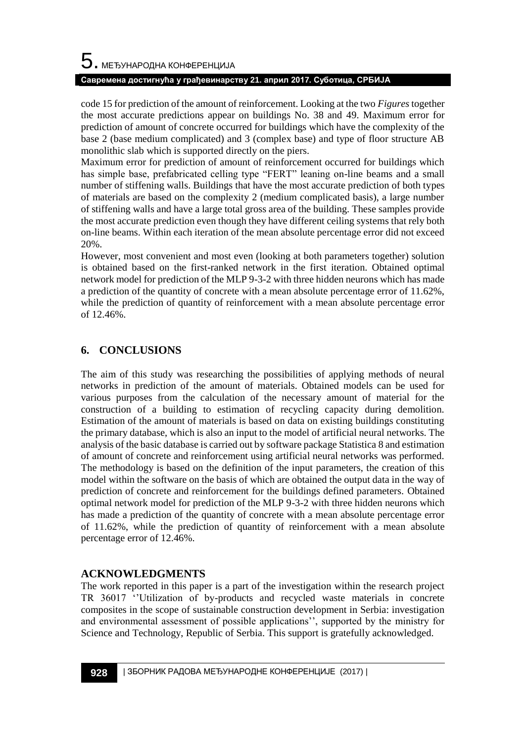#### **Савремена достигнућа у грађевинарству 21. април 2017. Суботица, СРБИЈА**

code 15 for prediction of the amount of reinforcement. Looking at the two *Figures*together the most accurate predictions appear on buildings No. 38 and 49. Maximum error for prediction of amount of concrete occurred for buildings which have the complexity of the base 2 (base medium complicated) and 3 (complex base) and type of floor structure AB monolithic slab which is supported directly on the piers.

Maximum error for prediction of amount of reinforcement occurred for buildings which has simple base, prefabricated celling type "FERT" leaning on-line beams and a small number of stiffening walls. Buildings that have the most accurate prediction of both types of materials are based on the complexity 2 (medium complicated basis), a large number of stiffening walls and have a large total gross area of the building. These samples provide the most accurate prediction even though they have different ceiling systems that rely both on-line beams. Within each iteration of the mean absolute percentage error did not exceed 20%.

However, most convenient and most even (looking at both parameters together) solution is obtained based on the first-ranked network in the first iteration. Obtained optimal network model for prediction of the MLP 9-3-2 with three hidden neurons which has made a prediction of the quantity of concrete with a mean absolute percentage error of 11.62%, while the prediction of quantity of reinforcement with a mean absolute percentage error of 12.46%.

### **6. CONCLUSIONS**

The aim of this study was researching the possibilities of applying methods of neural networks in prediction of the amount of materials. Obtained models can be used for various purposes from the calculation of the necessary amount of material for the construction of a building to estimation of recycling capacity during demolition. Estimation of the amount of materials is based on data on existing buildings constituting the primary database, which is also an input to the model of artificial neural networks. The analysis of the basic database is carried out by software package Statistica 8 and estimation of amount of concrete and reinforcement using artificial neural networks was performed. The methodology is based on the definition of the input parameters, the creation of this model within the software on the basis of which are obtained the output data in the way of prediction of concrete and reinforcement for the buildings defined parameters. Obtained optimal network model for prediction of the MLP 9-3-2 with three hidden neurons which has made a prediction of the quantity of concrete with a mean absolute percentage error of 11.62%, while the prediction of quantity of reinforcement with a mean absolute percentage error of 12.46%.

### **ACKNOWLEDGMENTS**

The work reported in this paper is a part of the investigation within the research project TR 36017 ''Utilization of by-products and recycled waste materials in concrete composites in the scope of sustainable construction development in Serbia: investigation and environmental assessment of possible applications'', supported by the ministry for Science and Technology, Republic of Serbia. This support is gratefully acknowledged.